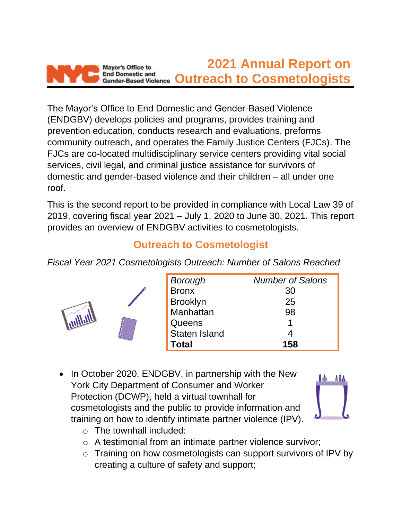

The Mayor's Office to End Domestic and Gender-Based Violence (ENDGBV) develops policies and programs, provides training and prevention education, conducts research and evaluations, preforms community outreach, and operates the Family Justice Centers (FJCs). The FJCs are co-located multidisciplinary service centers providing vital social services, civil legal, and criminal justice assistance for survivors of domestic and gender-based violence and their children – all under one roof.

This is the second report to be provided in compliance with Local Law 39 of 2019, covering fiscal year 2021 – July 1, 2020 to June 30, 2021. This report provides an overview of ENDGBV activities to cosmetologists.

## **Outreach to Cosmetologist**

*Fiscal Year 2021 Cosmetologists Outreach: Number of Salons Reached* 



| <b>Borough</b>  | <b>Number of Salons</b> |
|-----------------|-------------------------|
| <b>Bronx</b>    | 30                      |
| <b>Brooklyn</b> | 25                      |
| Manhattan       | 98                      |
| Queens          | 1                       |
| Staten Island   |                         |
| <b>Total</b>    | 158                     |

• In October 2020, ENDGBV, in partnership with the New York City Department of Consumer and Worker Protection (DCWP), held a virtual townhall for cosmetologists and the public to provide information and training on how to identify intimate partner violence (IPV).



- o The townhall included:
- o A testimonial from an intimate partner violence survivor;
- o Training on how cosmetologists can support survivors of IPV by creating a culture of safety and support;